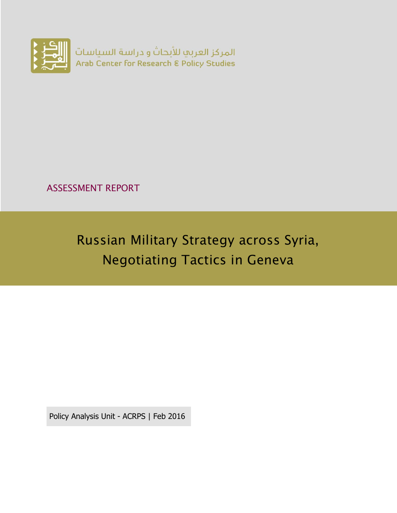

ASSESSMENT REPORT

Russian Military Strategy across Syria, Negotiating Tactics in Geneva

Policy Analysis Unit - ACRPS | Feb 2016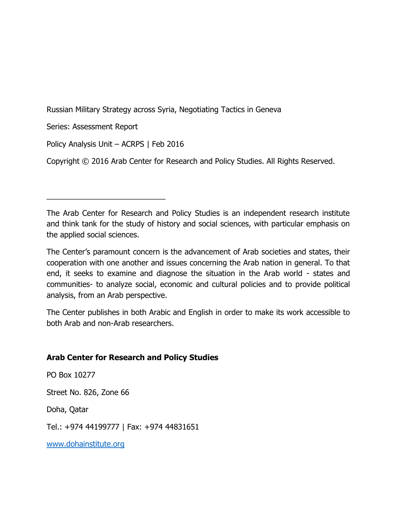Russian Military Strategy across Syria, Negotiating Tactics in Geneva

Series: Assessment Report

Policy Analysis Unit – ACRPS | Feb 2016

\_\_\_\_\_\_\_\_\_\_\_\_\_\_\_\_\_\_\_\_\_\_\_\_\_\_\_\_

Copyright © 2016 Arab Center for Research and Policy Studies. All Rights Reserved.

The Arab Center for Research and Policy Studies is an independent research institute and think tank for the study of history and social sciences, with particular emphasis on the applied social sciences.

The Center's paramount concern is the advancement of Arab societies and states, their cooperation with one another and issues concerning the Arab nation in general. To that end, it seeks to examine and diagnose the situation in the Arab world - states and communities- to analyze social, economic and cultural policies and to provide political analysis, from an Arab perspective.

The Center publishes in both Arabic and English in order to make its work accessible to both Arab and non-Arab researchers.

### **Arab Center for Research and Policy Studies**

PO Box 10277

Street No. 826, Zone 66

Doha, Qatar

Tel.: +974 44199777 | Fax: +974 44831651

[www.dohainstitute.org](file:///C:/Users/dena.qaddumi/Desktop/www.dohainstitute.org)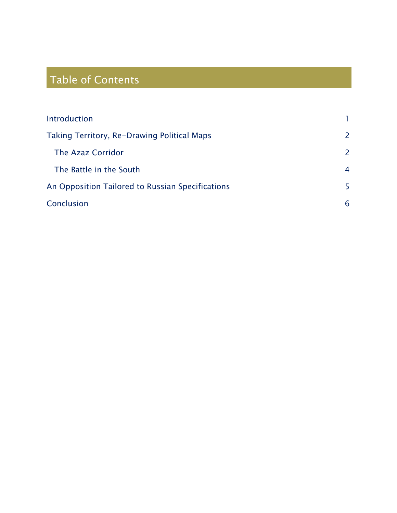# Table of Contents

| Introduction                                     |                |
|--------------------------------------------------|----------------|
| Taking Territory, Re-Drawing Political Maps      | 2              |
| The Azaz Corridor                                | $\overline{2}$ |
| The Battle in the South                          | $\overline{4}$ |
| An Opposition Tailored to Russian Specifications | 5              |
| Conclusion                                       | 6              |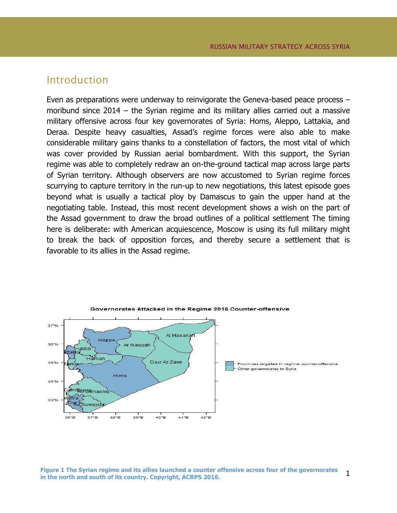## <span id="page-4-0"></span>Introduction

Even as preparations were underway to reinvigorate the Geneva-based peace process – moribund since 2014 – the Syrian regime and its military allies carried out a massive military offensive across four key governorates of Syria: Homs, Aleppo, Lattakia, and Deraa. Despite heavy casualties, Assad's regime forces were also able to make considerable military gains thanks to a constellation of factors, the most vital of which was cover provided by Russian aerial bombardment. With this support, the Syrian regime was able to completely redraw an on-the-ground tactical map across large parts of Syrian territory. Although observers are now accustomed to Syrian regime forces scurrying to capture territory in the run-up to new negotiations, this latest episode goes beyond what is usually a tactical ploy by Damascus to gain the upper hand at the negotiating table. Instead, this most recent development shows a wish on the part of the Assad government to draw the broad outlines of a political settlement The timing here is deliberate: with American acquiescence, Moscow is using its full military might to break the back of opposition forces, and thereby secure a settlement that is favorable to its allies in the Assad regime.



1 **Figure 1 The Syrian regime and its allies launched a counter offensive across four of the governorates in the north and south of its country. Copyright, ACRPS 2016.**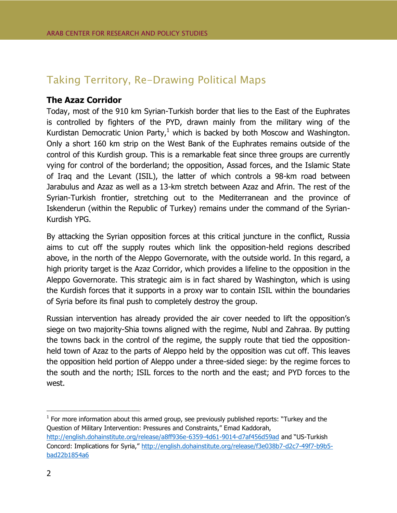# <span id="page-5-0"></span>Taking Territory, Re-Drawing Political Maps

#### <span id="page-5-1"></span>**The Azaz Corridor**

Today, most of the 910 km Syrian-Turkish border that lies to the East of the Euphrates is controlled by fighters of the PYD, drawn mainly from the military wing of the Kurdistan Democratic Union Party, $1$  which is backed by both Moscow and Washington. Only a short 160 km strip on the West Bank of the Euphrates remains outside of the control of this Kurdish group. This is a remarkable feat since three groups are currently vying for control of the borderland; the opposition, Assad forces, and the Islamic State of Iraq and the Levant (ISIL), the latter of which controls a 98-km road between Jarabulus and Azaz as well as a 13-km stretch between Azaz and Afrin. The rest of the Syrian-Turkish frontier, stretching out to the Mediterranean and the province of Iskenderun (within the Republic of Turkey) remains under the command of the Syrian-Kurdish YPG.

By attacking the Syrian opposition forces at this critical juncture in the conflict, Russia aims to cut off the supply routes which link the opposition-held regions described above, in the north of the Aleppo Governorate, with the outside world. In this regard, a high priority target is the Azaz Corridor, which provides a lifeline to the opposition in the Aleppo Governorate. This strategic aim is in fact shared by Washington, which is using the Kurdish forces that it supports in a proxy war to contain ISIL within the boundaries of Syria before its final push to completely destroy the group.

Russian intervention has already provided the air cover needed to lift the opposition's siege on two majority-Shia towns aligned with the regime, Nubl and Zahraa. By putting the towns back in the control of the regime, the supply route that tied the oppositionheld town of Azaz to the parts of Aleppo held by the opposition was cut off. This leaves the opposition held portion of Aleppo under a three-sided siege: by the regime forces to the south and the north; ISIL forces to the north and the east; and PYD forces to the west.

 $\overline{a}$ 

 $1$  For more information about this armed group, see previously published reports: "Turkey and the Question of Military Intervention: Pressures and Constraints," Emad Kaddorah, <http://english.dohainstitute.org/release/a8ff936e-6359-4d61-9014-d7af456d59ad> and "US-Turkish Concord: Implications for Syria," [http://english.dohainstitute.org/release/f3e038b7-d2c7-49f7-b9b5](http://english.dohainstitute.org/release/f3e038b7-d2c7-49f7-b9b5-bad22b1854a6) [bad22b1854a6](http://english.dohainstitute.org/release/f3e038b7-d2c7-49f7-b9b5-bad22b1854a6)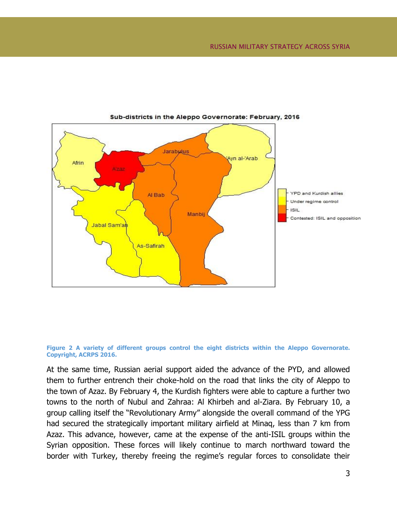

#### Sub-districts in the Aleppo Governorate: February, 2016

**Figure 2 A variety of different groups control the eight districts within the Aleppo Governorate. Copyright, ACRPS 2016.**

At the same time, Russian aerial support aided the advance of the PYD, and allowed them to further entrench their choke-hold on the road that links the city of Aleppo to the town of Azaz. By February 4, the Kurdish fighters were able to capture a further two towns to the north of Nubul and Zahraa: Al Khirbeh and al-Ziara. By February 10, a group calling itself the "Revolutionary Army" alongside the overall command of the YPG had secured the strategically important military airfield at Minaq, less than 7 km from Azaz. This advance, however, came at the expense of the anti-ISIL groups within the Syrian opposition. These forces will likely continue to march northward toward the border with Turkey, thereby freeing the regime's regular forces to consolidate their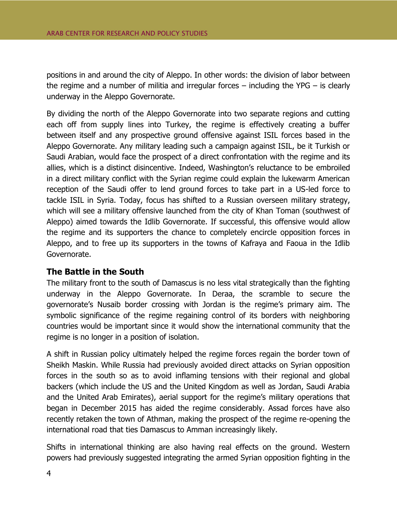positions in and around the city of Aleppo. In other words: the division of labor between the regime and a number of militia and irregular forces  $-$  including the YPG  $-$  is clearly underway in the Aleppo Governorate.

By dividing the north of the Aleppo Governorate into two separate regions and cutting each off from supply lines into Turkey, the regime is effectively creating a buffer between itself and any prospective ground offensive against ISIL forces based in the Aleppo Governorate. Any military leading such a campaign against ISIL, be it Turkish or Saudi Arabian, would face the prospect of a direct confrontation with the regime and its allies, which is a distinct disincentive. Indeed, Washington's reluctance to be embroiled in a direct military conflict with the Syrian regime could explain the lukewarm American reception of the Saudi offer to lend ground forces to take part in a US-led force to tackle ISIL in Syria. Today, focus has shifted to a Russian overseen military strategy, which will see a military offensive launched from the city of Khan Toman (southwest of Aleppo) aimed towards the Idlib Governorate. If successful, this offensive would allow the regime and its supporters the chance to completely encircle opposition forces in Aleppo, and to free up its supporters in the towns of Kafraya and Faoua in the Idlib Governorate.

### <span id="page-7-0"></span>**The Battle in the South**

The military front to the south of Damascus is no less vital strategically than the fighting underway in the Aleppo Governorate. In Deraa, the scramble to secure the governorate's Nusaib border crossing with Jordan is the regime's primary aim. The symbolic significance of the regime regaining control of its borders with neighboring countries would be important since it would show the international community that the regime is no longer in a position of isolation.

A shift in Russian policy ultimately helped the regime forces regain the border town of Sheikh Maskin. While Russia had previously avoided direct attacks on Syrian opposition forces in the south so as to avoid inflaming tensions with their regional and global backers (which include the US and the United Kingdom as well as Jordan, Saudi Arabia and the United Arab Emirates), aerial support for the regime's military operations that began in December 2015 has aided the regime considerably. Assad forces have also recently retaken the town of Athman, making the prospect of the regime re-opening the international road that ties Damascus to Amman increasingly likely.

Shifts in international thinking are also having real effects on the ground. Western powers had previously suggested integrating the armed Syrian opposition fighting in the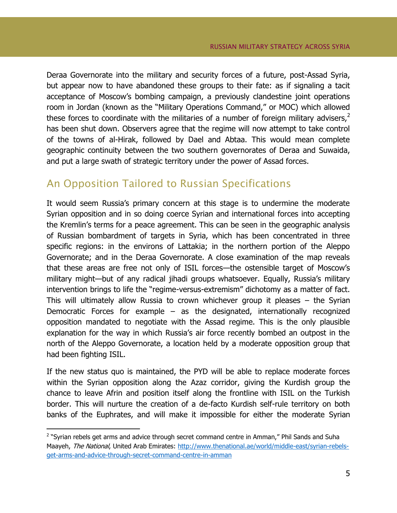Deraa Governorate into the military and security forces of a future, post-Assad Syria, but appear now to have abandoned these groups to their fate: as if signaling a tacit acceptance of Moscow's bombing campaign, a previously clandestine joint operations room in Jordan (known as the "Military Operations Command," or MOC) which allowed these forces to coordinate with the militaries of a number of foreign military advisers, $2$ has been shut down. Observers agree that the regime will now attempt to take control of the towns of al-Hirak, followed by Dael and Abtaa. This would mean complete geographic continuity between the two southern governorates of Deraa and Suwaida, and put a large swath of strategic territory under the power of Assad forces.

# <span id="page-8-0"></span>An Opposition Tailored to Russian Specifications

It would seem Russia's primary concern at this stage is to undermine the moderate Syrian opposition and in so doing coerce Syrian and international forces into accepting the Kremlin's terms for a peace agreement. This can be seen in the geographic analysis of Russian bombardment of targets in Syria, which has been concentrated in three specific regions: in the environs of Lattakia; in the northern portion of the Aleppo Governorate; and in the Deraa Governorate. A close examination of the map reveals that these areas are free not only of ISIL forces—the ostensible target of Moscow's military might—but of any radical jihadi groups whatsoever. Equally, Russia's military intervention brings to life the "regime-versus-extremism" dichotomy as a matter of fact. This will ultimately allow Russia to crown whichever group it pleases – the Syrian Democratic Forces for example – as the designated, internationally recognized opposition mandated to negotiate with the Assad regime. This is the only plausible explanation for the way in which Russia's air force recently bombed an outpost in the north of the Aleppo Governorate, a location held by a moderate opposition group that had been fighting ISIL.

If the new status quo is maintained, the PYD will be able to replace moderate forces within the Syrian opposition along the Azaz corridor, giving the Kurdish group the chance to leave Afrin and position itself along the frontline with ISIL on the Turkish border. This will nurture the creation of a de-facto Kurdish self-rule territory on both banks of the Euphrates, and will make it impossible for either the moderate Syrian

 $\overline{a}$ 

<sup>&</sup>lt;sup>2</sup> "Syrian rebels get arms and advice through secret command centre in Amman," Phil Sands and Suha Maayeh, The National, United Arab Emirates: [http://www.thenational.ae/world/middle-east/syrian-rebels](http://www.thenational.ae/world/middle-east/syrian-rebels-get-arms-and-advice-through-secret-command-centre-in-amman)[get-arms-and-advice-through-secret-command-centre-in-amman](http://www.thenational.ae/world/middle-east/syrian-rebels-get-arms-and-advice-through-secret-command-centre-in-amman)